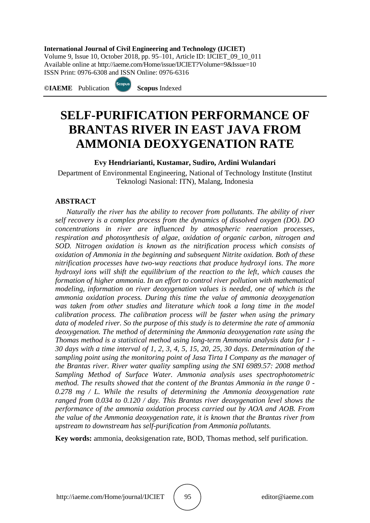#### **International Journal of Civil Engineering and Technology (IJCIET)**

Volume 9, Issue 10, October 2018, pp. 95–101, Article ID: IJCIET\_09\_10\_011 Available online at http://iaeme.com/Home/issue/IJCIET?Volume=9&Issue=10 ISSN Print: 0976-6308 and ISSN Online: 0976-6316

**©IAEME** Publication **Scopus** Indexed



# **SELF-PURIFICATION PERFORMANCE OF BRANTAS RIVER IN EAST JAVA FROM AMMONIA DEOXYGENATION RATE**

#### **Evy Hendriarianti, Kustamar, Sudiro, Ardini Wulandari**

Department of Environmental Engineering, National of Technology Institute (Institut Teknologi Nasional: ITN), Malang, Indonesia

#### **ABSTRACT**

*Naturally the river has the ability to recover from pollutants. The ability of river self recovery is a complex process from the dynamics of dissolved oxygen (DO). DO concentrations in river are influenced by atmospheric reaeration processes, respiration and photosynthesis of algae, oxidation of organic carbon, nitrogen and SOD. Nitrogen oxidation is known as the nitrification process which consists of oxidation of Ammonia in the beginning and subsequent Nitrite oxidation. Both of these nitrification processes have two-way reactions that produce hydroxyl ions. The more hydroxyl ions will shift the equilibrium of the reaction to the left, which causes the formation of higher ammonia. In an effort to control river pollution with mathematical modeling, information on river deoxygenation values is needed, one of which is the ammonia oxidation process. During this time the value of ammonia deoxygenation was taken from other studies and literature which took a long time in the model calibration process. The calibration process will be faster when using the primary data of modeled river. So the purpose of this study is to determine the rate of ammonia deoxygenation. The method of determining the Ammonia deoxygenation rate using the Thomas method is a statistical method using long-term Ammonia analysis data for 1 - 30 days with a time interval of 1, 2, 3, 4, 5, 15, 20, 25, 30 days. Determination of the sampling point using the monitoring point of Jasa Tirta I Company as the manager of the Brantas river. River water quality sampling using the SNI 6989.57: 2008 method Sampling Method of Surface Water. Ammonia analysis uses spectrophotometric method. The results showed that the content of the Brantas Ammonia in the range 0 - 0.278 mg / L. While the results of determining the Ammonia deoxygenation rate ranged from 0.034 to 0.120 / day. This Brantas river deoxygenation level shows the performance of the ammonia oxidation process carried out by AOA and AOB. From the value of the Ammonia deoxygenation rate, it is known that the Brantas river from upstream to downstream has self-purification from Ammonia pollutants.*

**Key words:** ammonia, deoksigenation rate, BOD, Thomas method, self purification.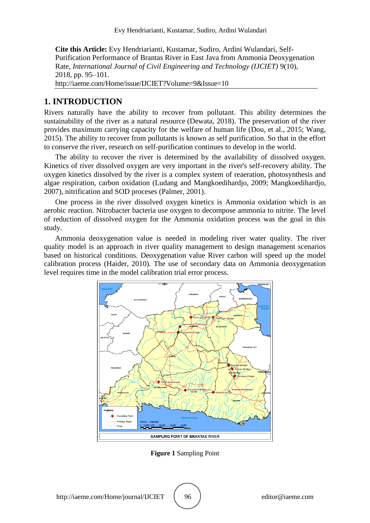**Cite this Article:** Evy Hendriarianti, Kustamar, Sudiro, Ardini Wulandari, Self-Purification Performance of Brantas River in East Java from Ammonia Deoxygenation Rate, *International Journal of Civil Engineering and Technology (IJCIET)* 9(10), 2018, pp. 95–101. http://iaeme.com/Home/issue/IJCIET?Volume=9&Issue=10

#### **1. INTRODUCTION**

Rivers naturally have the ability to recover from pollutant. This ability determines the sustainability of the river as a natural resource (Dewata, 2018). The preservation of the river provides maximum carrying capacity for the welfare of human life (Dou, et al., 2015; Wang, 2015). The ability to recover from pollutants is known as self purification. So that in the effort to conserve the river, research on self-purification continues to develop in the world.

The ability to recover the river is determined by the availability of dissolved oxygen. Kinetics of river dissolved oxygen are very important in the river's self-recovery ability. The oxygen kinetics dissolved by the river is a complex system of reaeration, photosynthesis and algae respiration, carbon oxidation (Ludang and Mangkoedihardjo, 2009; Mangkoedihardjo, 2007), nitrification and SOD proceses (Palmer, 2001).

One process in the river dissolved oxygen kinetics is Ammonia oxidation which is an aerobic reaction. Nitrobacter bacteria use oxygen to decompose ammonia to nitrite. The level of reduction of dissolved oxygen for the Ammonia oxidation process was the goal in this study.

Ammonia deoxygenation value is needed in modeling river water quality. The river quality model is an approach in river quality management to design management scenarios based on historical conditions. Deoxygenation value River carbon will speed up the model calibration process (Haider, 2010). The use of secondary data on Ammonia deoxygenation level requires time in the model calibration trial error process.



**Figure 1** Sampling Point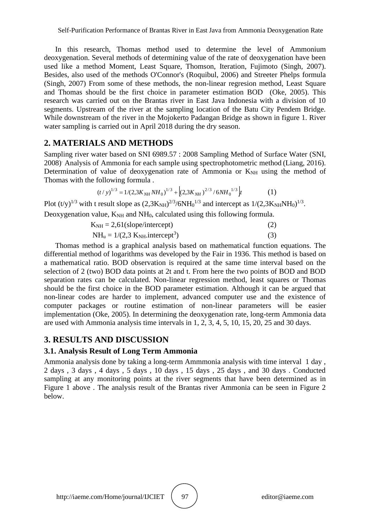In this research, Thomas method used to determine the level of Ammonium deoxygenation. Several methods of determining value of the rate of deoxygenation have been used like a method Moment, Least Square, Thomson, Iteration, Fujimoto (Singh, 2007). Besides, also used of the methods O'Connor's (Roquibul, 2006) and Streeter Phelps formula (Singh, 2007) From some of these methods, the non-linear regresion method, Least Square and Thomas should be the first choice in parameter estimation BOD (Oke, 2005). This research was carried out on the Brantas river in East Java Indonesia with a division of 10 segments. Upstream of the river at the sampling location of the Batu City Pendem Bridge. While downstream of the river in the Mojokerto Padangan Bridge as shown in figure 1. River water sampling is carried out in April 2018 during the dry season.

### **2. MATERIALS AND METHODS**

Sampling river water based on SNI 6989.57 : 2008 Sampling Method of Surface Water (SNI, 2008). Analysis of Ammonia for each sample using spectrophotometric method (Liang, 2016). Determination of value of deoxygenation rate of Ammonia or  $K<sub>NH</sub>$  using the method of Thomas with the following formula .

$$
(t/y)^{1/3} = 1/(2,3K_{NH}NH_0)^{1/3} + \left[ (2,3K_{NH})^{2/3}/6NH_0^{1/3} \right] t \tag{1}
$$

Plot  $(t/y)^{1/3}$  with t result slope as  $(2,3K_{NH})^{2/3}/6NH_0^{1/3}$  and intercept as  $1/(2,3K_{NH}NH_0)^{1/3}$ . Deoxygenation value,  $K_{NH}$  and  $NH_0$ , calculated using this following formula.

$$
K_{NH} = 2,61 \text{(slope/intercept)} \tag{2}
$$
\n
$$
NH_{u} = 1/(2,3 \text{ K}_{NH}.\text{intercept}^{3}) \tag{3}
$$

Thomas method is a graphical analysis based on mathematical function equations. The differential method of logarithms was developed by the Fair in 1936. This method is based on a mathematical ratio. BOD observation is required at the same time interval based on the selection of 2 (two) BOD data points at 2t and t. From here the two points of BOD and BOD separation rates can be calculated. Non-linear regression method, least squares or Thomas should be the first choice in the BOD parameter estimation. Although it can be argued that non-linear codes are harder to implement, advanced computer use and the existence of computer packages or routine estimation of non-linear parameters will be easier implementation (Oke, 2005). In determining the deoxygenation rate, long-term Ammonia data are used with Ammonia analysis time intervals in 1, 2, 3, 4, 5, 10, 15, 20, 25 and 30 days.

## **3. RESULTS AND DISCUSSION**

## **3.1. Analysis Result of Long Term Ammonia**

Ammonia analysis done by taking a long-term Ammmonia analysis with time interval 1 day , 2 days , 3 days , 4 days , 5 days , 10 days , 15 days , 25 days , and 30 days . Conducted sampling at any monitoring points at the river segments that have been determined as in Figure 1 above . The analysis result of the Brantas river Ammonia can be seen in Figure 2 below.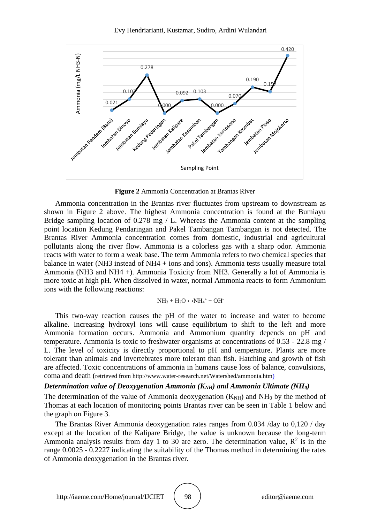

**Figure 2** Ammonia Concentration at Brantas River

Ammonia concentration in the Brantas river fluctuates from upstream to downstream as shown in Figure 2 above. The highest Ammonia concentration is found at the Bumiayu Bridge sampling location of 0.278 mg / L. Whereas the Ammonia content at the sampling point location Kedung Pendaringan and Pakel Tambangan Tambangan is not detected. The Brantas River Ammonia concentration comes from domestic, industrial and agricultural pollutants along the river flow. Ammonia is a colorless gas with a sharp odor. Ammonia reacts with water to form a weak base. The term Ammonia refers to two chemical species that balance in water (NH3 instead of NH4 + ions and ions). Ammonia tests usually measure total Ammonia (NH3 and NH4 +). Ammonia Toxicity from NH3. Generally a lot of Ammonia is more toxic at high pH. When dissolved in water, normal Ammonia reacts to form Ammonium ions with the following reactions:

$$
NH_3 + H_2O \leftrightarrow\!\! NH_4{}^+ + OH{}^-
$$

This two-way reaction causes the pH of the water to increase and water to become alkaline. Increasing hydroxyl ions will cause equilibrium to shift to the left and more Ammonia formation occurs. Ammonia and Ammonium quantity depends on pH and temperature. Ammonia is toxic to freshwater organisms at concentrations of 0.53 - 22.8 mg / L. The level of toxicity is directly proportional to pH and temperature. Plants are more tolerant than animals and invertebrates more tolerant than fish. Hatching and growth of fish are affected. Toxic concentrations of ammonia in humans cause loss of balance, convulsions, coma and death (retrieved from http://www.water-research.net/Watershed/ammonia.htm)

#### *Determination value of Deoxygenation Ammonia (KNH) and Ammonia Ultimate (NH0)*

The determination of the value of Ammonia deoxygenation  $(K<sub>NH</sub>)$  and  $NH<sub>0</sub>$  by the method of Thomas at each location of monitoring points Brantas river can be seen in Table 1 below and the graph on Figure 3.

The Brantas River Ammonia deoxygenation rates ranges from 0.034 /day to 0,120 / day except at the location of the Kalipare Bridge, the value is unknown because the long-term Ammonia analysis results from day 1 to 30 are zero. The determination value,  $\mathbb{R}^2$  is in the range 0.0025 - 0.2227 indicating the suitability of the Thomas method in determining the rates of Ammonia deoxygenation in the Brantas river.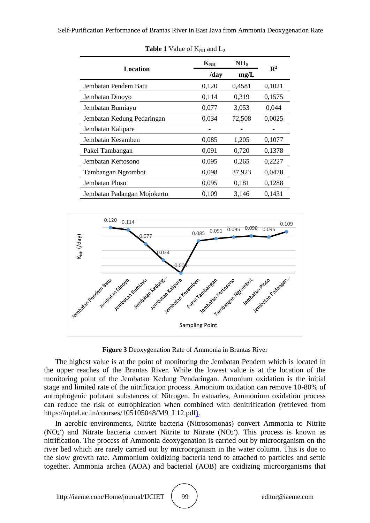| Location                    | $K_{NH}$ | NH <sub>0</sub> | $\mathbf{R}^2$ |
|-----------------------------|----------|-----------------|----------------|
|                             | /day     | mg/L            |                |
| Jembatan Pendem Batu        | 0,120    | 0,4581          | 0,1021         |
| Jembatan Dinoyo             | 0,114    | 0,319           | 0,1575         |
| Jembatan Bumiayu            | 0,077    | 3,053           | 0,044          |
| Jembatan Kedung Pedaringan  | 0,034    | 72,508          | 0,0025         |
| Jembatan Kalipare           |          |                 |                |
| Jembatan Kesamben           | 0,085    | 1,205           | 0,1077         |
| Pakel Tambangan             | 0,091    | 0,720           | 0,1378         |
| Jembatan Kertosono          | 0,095    | 0,265           | 0,2227         |
| <b>Tambangan Ngrombot</b>   | 0,098    | 37,923          | 0,0478         |
| Jembatan Ploso              | 0,095    | 0,181           | 0,1288         |
| Jembatan Padangan Mojokerto | 0,109    | 3,146           | 0,1431         |

**Table 1** Value of  $K_{NH}$  and  $L_0$ 



**Figure 3** Deoxygenation Rate of Ammonia in Brantas River

The highest value is at the point of monitoring the Jembatan Pendem which is located in the upper reaches of the Brantas River. While the lowest value is at the location of the monitoring point of the Jembatan Kedung Pendaringan. Amonium oxidation is the initial stage and limited rate of the nitrification process. Amonium oxidation can remove 10-80% of antrophogenic polutant substances of Nitrogen. In estuaries, Ammonium oxidation process can reduce the risk of eutrophication when combined with denitrification (retrieved from https://nptel.ac.in/courses/105105048/M9\_L12.pdf).

In aerobic environments, Nitrite bacteria (Nitrosomonas) convert Ammonia to Nitrite  $(NO<sub>2</sub>)$  and Nitrate bacteria convert Nitrite to Nitrate  $(NO<sub>3</sub>)$ . This process is known as nitrification. The process of Ammonia deoxygenation is carried out by microorganism on the river bed which are rarely carried out by microorganism in the water column. This is due to the slow growth rate. Ammonium oxidizing bacteria tend to attached to particles and settle together. Ammonia archea (AOA) and bacterial (AOB) are oxidizing microorganisms that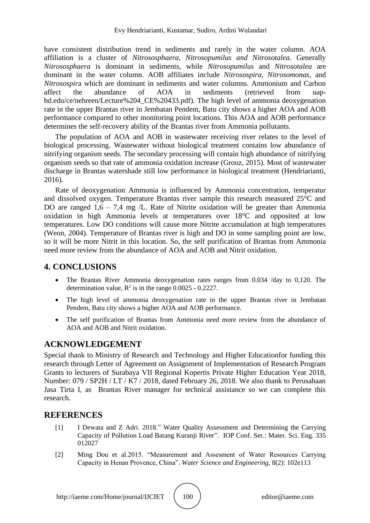have consistent distribution trend in sediments and rarely in the water column. AOA affiliation is a cluster of *Nitrososphaera, Nitrosopumilus and Nitrosotalea*. Generally *Nitrososphaera* is dominant in sediments, while *Nitrosopumilus* and *Nitrosotalea* are dominant in the water column. AOB affiliates include *Nitrosospira, Nitrosomonas*, and *Nitrosospir*a which are dominant in sediments and water columns. Ammonium and Carbon affect the abundance of AOA in sediments (retrieved from uapbd.edu/ce/nehreen/Lecture%204\_CE%20433.pdf). The high level of ammonia deoxygenation rate in the upper Brantas river in Jembatan Pendem, Batu city shows a higher AOA and AOB performance compared to other monitoring point locations. This AOA and AOB performance determines the self-recovery ability of the Brantas river from Ammonia pollutants.

The population of AOA and AOB in wastewater receiving river relates to the level of biological processing. Wastewater without biological treatment contains low abundance of nitrifying organism seeds. The secondary processing will contain high abundance of nitrifying organism seeds so that rate of ammonia oxidation increase (Grouz, 2015). Most of wastewater discharge in Brantas watershade still low performance in biological treatment (Hendriarianti, 2016).

Rate of deoxygenation Ammonia is influenced by Ammonia concentration, temperatur and dissolved oxygen. Temperature Brantas river sample this research measured 25°C and DO are ranged  $1.6 - 7.4$  mg  $/L$ . Rate of Nitrite oxidation will be greater than Ammonia oxidation in high Ammonia levels at temperatures over 18°C and opposited at low temperatures. Low DO conditions will cause more Nitrite accumulation at high temperatures (Weon, 2004). Temperature of Brantas river is high and DO in some sampling point are low, so it will be more Nitrit in this location. So, the self purification of Brantas from Ammonia need more review from the abundance of AOA and AOB and Nitrit oxidation.

## **4. CONCLUSIONS**

- The Brantas River Ammonia deoxygenation rates ranges from 0.034 /day to 0,120. The determination value,  $R^2$  is in the range 0.0025 - 0.2227.
- The high level of ammonia deoxygenation rate in the upper Brantas river in Jembatan Pendem, Batu city shows a higher AOA and AOB performance.
- The self purification of Brantas from Ammonia need more review from the abundance of AOA and AOB and Nitrit oxidation.

## **ACKNOWLEDGEMENT**

Special thank to Ministry of Research and Technology and Higher Educationfor funding this research through Letter of Agreement on Assignment of Implementation of Research Program Grants to lecturers of Surabaya VII Regional Kopertis Private Higher Education Year 2018, Number: 079 / SP2H / LT / K7 / 2018, dated February 26, 2018. We also thank to Perusahaan Jasa Tirta I, as Brantas River manager for technical assistance so we can complete this research.

## **REFERENCES**

- [1] I Dewata and Z Adri. 2018." Water Quality Assessment and Determining the Carrying Capacity of Pollution Load Batang Kuranji River". IOP Conf. Ser.: Mater. Sci. Eng. 335 012027
- [2] Ming Dou et al.2015. "Measurement and Assesment of Water Resources Carrying Capacity in Henan Provence, China". *Water Science and Engineering*, 8(2): 102e113